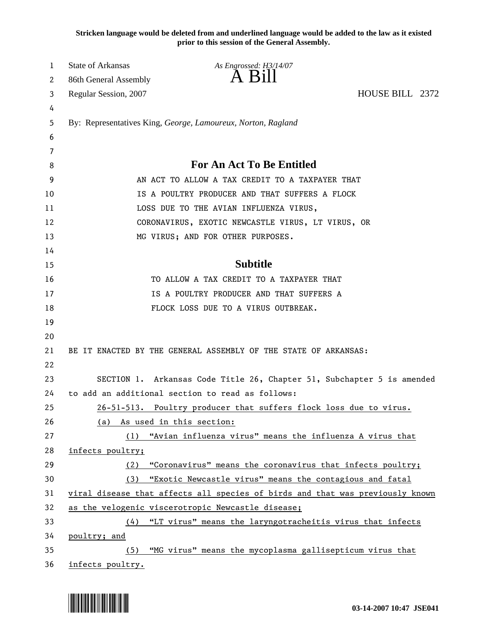**Stricken language would be deleted from and underlined language would be added to the law as it existed prior to this session of the General Assembly.**

| 1  | State of Arkansas                                                             | As Engrossed: H3/14/07                                                 |                 |  |
|----|-------------------------------------------------------------------------------|------------------------------------------------------------------------|-----------------|--|
| 2  | 86th General Assembly                                                         |                                                                        |                 |  |
| 3  | Regular Session, 2007                                                         |                                                                        | HOUSE BILL 2372 |  |
| 4  |                                                                               |                                                                        |                 |  |
| 5  |                                                                               | By: Representatives King, George, Lamoureux, Norton, Ragland           |                 |  |
| 6  |                                                                               |                                                                        |                 |  |
| 7  |                                                                               |                                                                        |                 |  |
| 8  | <b>For An Act To Be Entitled</b>                                              |                                                                        |                 |  |
| 9  | AN ACT TO ALLOW A TAX CREDIT TO A TAXPAYER THAT                               |                                                                        |                 |  |
| 10 | IS A POULTRY PRODUCER AND THAT SUFFERS A FLOCK                                |                                                                        |                 |  |
| 11 | LOSS DUE TO THE AVIAN INFLUENZA VIRUS,                                        |                                                                        |                 |  |
| 12 | CORONAVIRUS, EXOTIC NEWCASTLE VIRUS, LT VIRUS, OR                             |                                                                        |                 |  |
| 13 |                                                                               | MG VIRUS; AND FOR OTHER PURPOSES.                                      |                 |  |
| 14 |                                                                               |                                                                        |                 |  |
| 15 |                                                                               | <b>Subtitle</b>                                                        |                 |  |
| 16 |                                                                               | TO ALLOW A TAX CREDIT TO A TAXPAYER THAT                               |                 |  |
| 17 | IS A POULTRY PRODUCER AND THAT SUFFERS A                                      |                                                                        |                 |  |
| 18 |                                                                               | FLOCK LOSS DUE TO A VIRUS OUTBREAK.                                    |                 |  |
| 19 |                                                                               |                                                                        |                 |  |
| 20 |                                                                               |                                                                        |                 |  |
| 21 |                                                                               | BE IT ENACTED BY THE GENERAL ASSEMBLY OF THE STATE OF ARKANSAS:        |                 |  |
| 22 |                                                                               |                                                                        |                 |  |
| 23 |                                                                               | SECTION 1. Arkansas Code Title 26, Chapter 51, Subchapter 5 is amended |                 |  |
| 24 |                                                                               | to add an additional section to read as follows:                       |                 |  |
| 25 |                                                                               | 26-51-513. Poultry producer that suffers flock loss due to virus.      |                 |  |
| 26 | (a)                                                                           | As used in this section:                                               |                 |  |
| 27 | (1)                                                                           | "Avian influenza virus" means the influenza A virus that               |                 |  |
| 28 | infects poultry;                                                              |                                                                        |                 |  |
| 29 | (2)                                                                           | "Coronavirus" means the coronavirus that infects poultry;              |                 |  |
| 30 | "Exotic Newcastle virus" means the contagious and fatal<br>(3)                |                                                                        |                 |  |
| 31 | viral disease that affects all species of birds and that was previously known |                                                                        |                 |  |
| 32 |                                                                               | as the velogenic viscerotropic Newcastle disease;                      |                 |  |
| 33 | (4)                                                                           | "LT virus" means the laryngotracheitis virus that infects              |                 |  |
| 34 | poultry; and                                                                  |                                                                        |                 |  |
| 35 | (5)                                                                           | "MG virus" means the mycoplasma gallisepticum virus that               |                 |  |
| 36 | infects poultry.                                                              |                                                                        |                 |  |